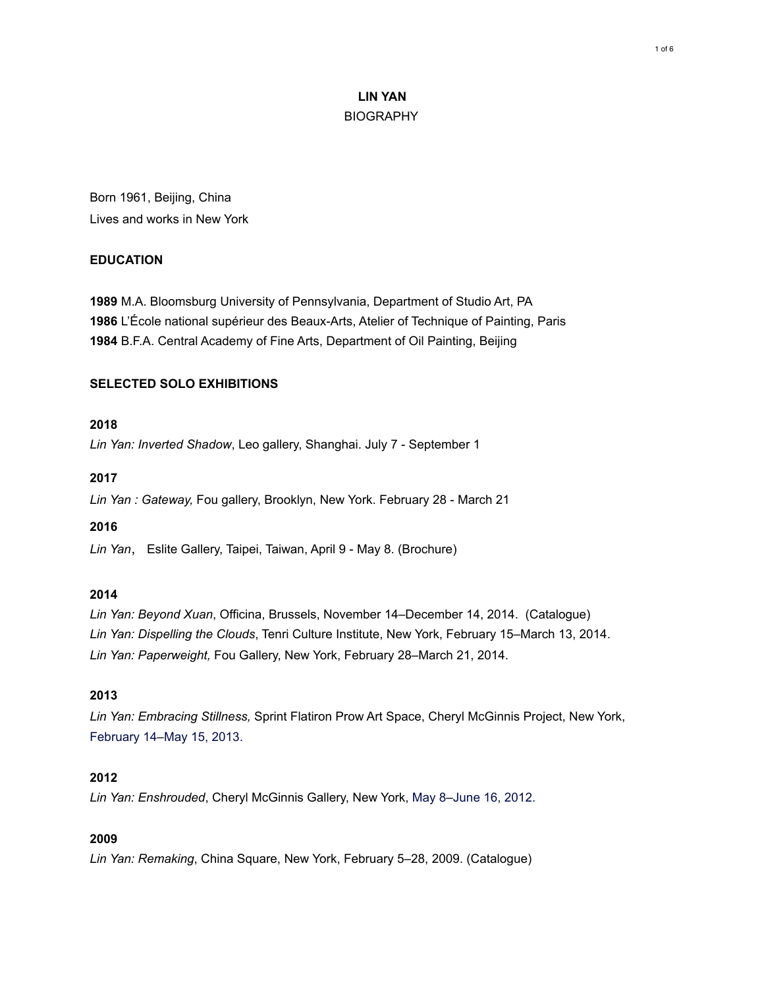# **LIN YAN BIOGRAPHY**

Born 1961, Beijing, China Lives and works in New York

## **EDUCATION**

**1989** M.A. Bloomsburg University of Pennsylvania, Department of Studio Art, PA **1986** L'École national supérieur des Beaux-Arts, Atelier of Technique of Painting, Paris **1984** B.F.A. Central Academy of Fine Arts, Department of Oil Painting, Beijing

## **SELECTED SOLO EXHIBITIONS**

### **2018**

*Lin Yan: Inverted Shadow*, Leo gallery, Shanghai. July 7 - September 1

#### **2017**

*Lin Yan : Gateway,* Fou gallery, Brooklyn, New York. February 28 - March 21

### **2016**

*Lin Yan*, Eslite Gallery, Taipei, Taiwan, April 9 - May 8. (Brochure)

### **2014**

*Lin Yan: Beyond Xuan*, Officina, Brussels, November 14–December 14, 2014. (Catalogue) *Lin Yan: Dispelling the Clouds*, Tenri Culture Institute, New York, February 15–March 13, 2014. *Lin Yan: Paperweight,* Fou Gallery, New York, February 28–March 21, 2014.

### **2013**

*Lin Yan: Embracing Stillness,* Sprint Flatiron Prow Art Space, Cheryl McGinnis Project, New York, February 14–May 15, 2013.

## **2012**

*Lin Yan: Enshrouded*, Cheryl McGinnis Gallery, New York, May 8–June 16, 2012.

## **2009**

*Lin Yan: Remaking*, China Square, New York, February 5–28, 2009. (Catalogue)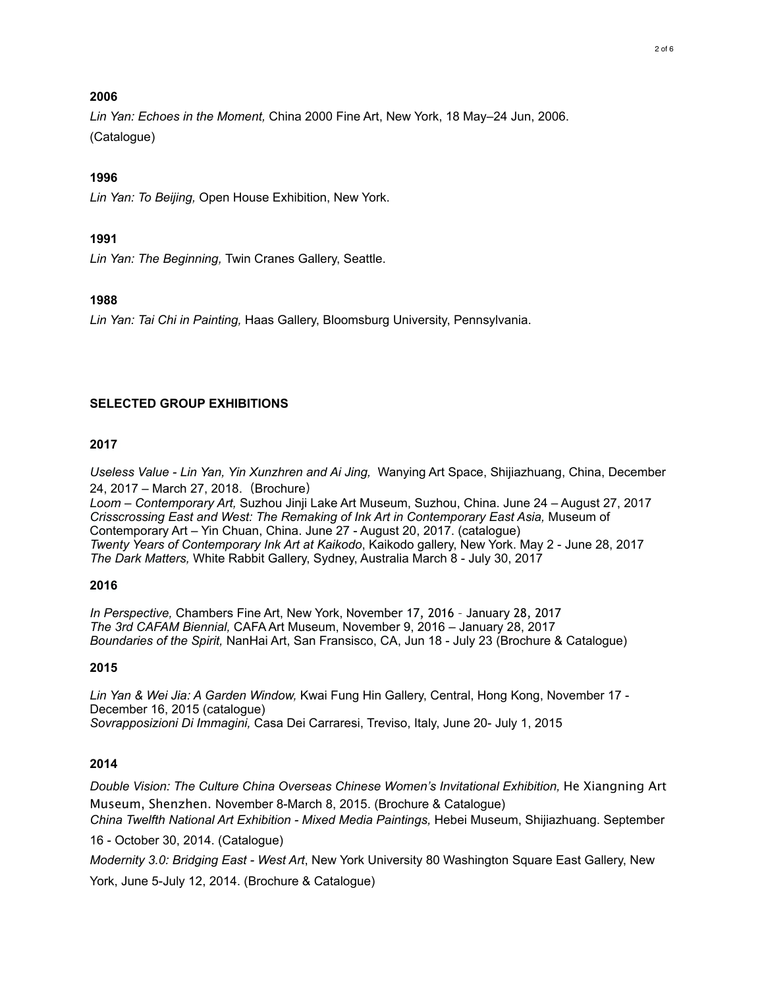### **2006**

*Lin Yan: Echoes in the Moment,* China 2000 Fine Art, New York, 18 May–24 Jun, 2006. (Catalogue)

### **1996**

*Lin Yan: To Beijing,* Open House Exhibition, New York.

#### **1991**

*Lin Yan: The Beginning,* Twin Cranes Gallery, Seattle.

#### **1988**

*Lin Yan: Tai Chi in Painting,* Haas Gallery, Bloomsburg University, Pennsylvania.

#### **SELECTED GROUP EXHIBITIONS**

#### **2017**

*Useless Value - Lin Yan, Yin Xunzhren and Ai Jing,* Wanying Art Space, Shijiazhuang, China, December 24, 2017 – March 27, 2018.(Brochure)

*Loom – Contemporary Art,* Suzhou Jinji Lake Art Museum, Suzhou, China. June 24 – August 27, 2017 *Crisscrossing East and West: The Remaking of Ink Art in Contemporary East Asia,* Museum of Contemporary Art – Yin Chuan, China. June 27 - August 20, 2017. (catalogue) *Twenty Years of Contemporary Ink Art at Kaikodo*, Kaikodo gallery, New York. May 2 - June 28, 2017 *The Dark Matters,* White Rabbit Gallery, Sydney, Australia March 8 - July 30, 2017

#### **2016**

*In Perspective,* Chambers Fine Art, New York, November 17, 2016 – January 28, 2017 *The 3rd CAFAM Biennial,* CAFA Art Museum, November 9, 2016 – January 28, 2017 *Boundaries of the Spirit,* NanHai Art, San Fransisco, CA, Jun 18 - July 23 (Brochure & Catalogue)

### **2015**

*Lin Yan & Wei Jia: A Garden Window,* Kwai Fung Hin Gallery, Central, Hong Kong, November 17 - December 16, 2015 (catalogue) *Sovrapposizioni Di Immagini,* Casa Dei Carraresi, Treviso, Italy, June 20- July 1, 2015

### **2014**

*Double Vision: The Culture China Overseas Chinese Women's Invitational Exhibition, He Xiangning Art* Museum, Shenzhen. November 8-March 8, 2015. (Brochure & Catalogue) *China Twelfth National Art Exhibition - Mixed Media Paintings,* Hebei Museum, Shijiazhuang. September

16 - October 30, 2014. (Catalogue)

*Modernity 3.0: Bridging East - West Art*, New York University 80 Washington Square East Gallery, New

York, June 5-July 12, 2014. (Brochure & Catalogue)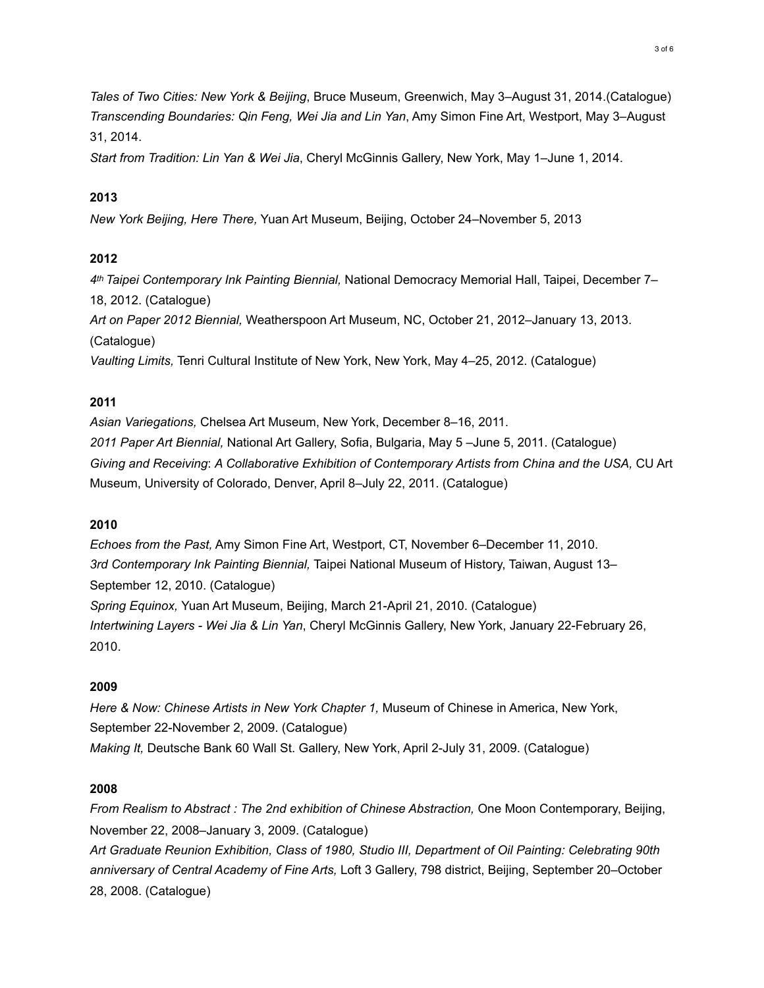*Tales of Two Cities: New York & Beijing*, Bruce Museum, Greenwich, May 3–August 31, 2014.(Catalogue) *Transcending Boundaries: Qin Feng, Wei Jia and Lin Yan*, Amy Simon Fine Art, Westport, May 3–August 31, 2014.

*Start from Tradition: Lin Yan & Wei Jia*, Cheryl McGinnis Gallery, New York, May 1–June 1, 2014.

## **2013**

*New York Beijing, Here There,* Yuan Art Museum, Beijing, October 24–November 5, 2013

# **2012**

*4th Taipei Contemporary Ink Painting Biennial,* National Democracy Memorial Hall, Taipei, December 7– 18, 2012. (Catalogue)

*Art on Paper 2012 Biennial,* Weatherspoon Art Museum, NC, October 21, 2012–January 13, 2013. (Catalogue)

*Vaulting Limits,* Tenri Cultural Institute of New York, New York, May 4–25, 2012. (Catalogue)

## **2011**

*Asian Variegations,* Chelsea Art Museum, New York, December 8–16, 2011. *2011 Paper Art Biennial,* National Art Gallery, Sofia, Bulgaria, May 5 –June 5, 2011. (Catalogue) *Giving and Receiving*: *A Collaborative Exhibition of Contemporary Artists from China and the USA,* CU Art Museum, University of Colorado, Denver, April 8–July 22, 2011. (Catalogue)

### **2010**

*Echoes from the Past,* Amy Simon Fine Art, Westport, CT, November 6–December 11, 2010. *3rd Contemporary Ink Painting Biennial,* Taipei National Museum of History, Taiwan, August 13– September 12, 2010. (Catalogue) *Spring Equinox,* Yuan Art Museum, Beijing, March 21-April 21, 2010. (Catalogue) *Intertwining Layers - Wei Jia & Lin Yan*, Cheryl McGinnis Gallery, New York, January 22-February 26, 2010.

### **2009**

*Here & Now: Chinese Artists in New York Chapter 1,* Museum of Chinese in America, New York, September 22-November 2, 2009. (Catalogue) *Making It,* Deutsche Bank 60 Wall St. Gallery, New York, April 2-July 31, 2009. (Catalogue)

### **2008**

*From Realism to Abstract : The 2nd exhibition of Chinese Abstraction, One Moon Contemporary, Beijing,* November 22, 2008–January 3, 2009. (Catalogue)

*Art Graduate Reunion Exhibition, Class of 1980, Studio III, Department of Oil Painting: Celebrating 90th anniversary of Central Academy of Fine Arts,* Loft 3 Gallery, 798 district, Beijing, September 20–October 28, 2008. (Catalogue)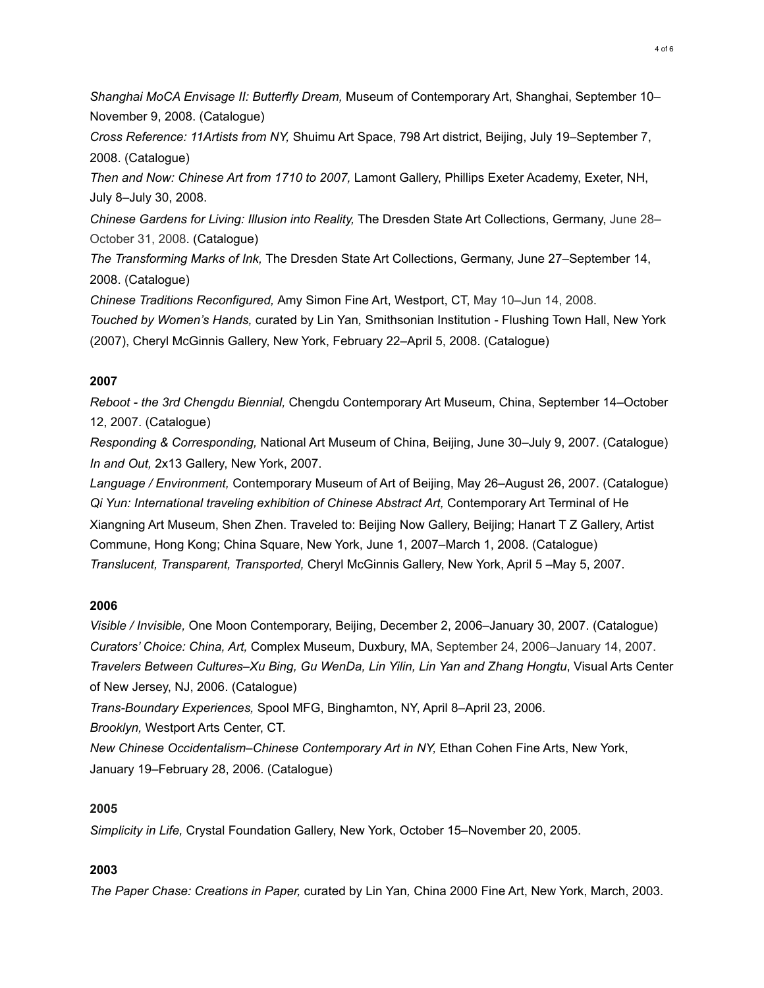*Shanghai MoCA Envisage II: Butterfly Dream,* Museum of Contemporary Art, Shanghai, September 10– November 9, 2008. (Catalogue)

*Cross Reference: 11Artists from NY,* Shuimu Art Space, 798 Art district, Beijing, July 19–September 7, 2008. (Catalogue)

*Then and Now: Chinese Art from 1710 to 2007,* Lamont Gallery, Phillips Exeter Academy, Exeter, NH, July 8–July 30, 2008.

*Chinese Gardens for Living: Illusion into Reality,* The Dresden State Art Collections, Germany, June 28– October 31, 2008. (Catalogue)

*The Transforming Marks of Ink,* The Dresden State Art Collections, Germany, June 27–September 14, 2008. (Catalogue)

*Chinese Traditions Reconfigured,* Amy Simon Fine Art, Westport, CT, May 10–Jun 14, 2008.

*Touched by Women's Hands,* curated by Lin Yan*,* Smithsonian Institution - Flushing Town Hall, New York (2007), Cheryl McGinnis Gallery, New York, February 22–April 5, 2008. (Catalogue)

## **2007**

*Reboot - the 3rd Chengdu Biennial,* Chengdu Contemporary Art Museum, China, September 14–October 12, 2007. (Catalogue)

*Responding & Corresponding,* National Art Museum of China, Beijing, June 30–July 9, 2007. (Catalogue) *In and Out,* 2x13 Gallery, New York, 2007.

*Language / Environment,* Contemporary Museum of Art of Beijing, May 26–August 26, 2007. (Catalogue) *Qi Yun: International traveling exhibition of Chinese Abstract Art,* Contemporary Art Terminal of He Xiangning Art Museum, Shen Zhen. Traveled to: Beijing Now Gallery, Beijing; Hanart T Z Gallery, Artist Commune, Hong Kong; China Square, New York, June 1, 2007–March 1, 2008. (Catalogue) *Translucent, Transparent, Transported,* Cheryl McGinnis Gallery, New York, April 5 –May 5, 2007.

# **2006**

*Visible / Invisible,* One Moon Contemporary, Beijing, December 2, 2006–January 30, 2007. (Catalogue) *Curators' Choice: China, Art,* Complex Museum, Duxbury, MA, September 24, 2006–January 14, 2007. *Travelers Between Cultures–Xu Bing, Gu WenDa, Lin Yilin, Lin Yan and Zhang Hongtu*, Visual Arts Center of New Jersey, NJ, 2006. (Catalogue)

*Trans-Boundary Experiences,* Spool MFG, Binghamton, NY, April 8–April 23, 2006.

*Brooklyn,* Westport Arts Center, CT.

*New Chinese Occidentalism–Chinese Contemporary Art in NY, Ethan Cohen Fine Arts, New York,* January 19–February 28, 2006. (Catalogue)

# **2005**

*Simplicity in Life,* Crystal Foundation Gallery, New York, October 15–November 20, 2005.

# **2003**

*The Paper Chase: Creations in Paper,* curated by Lin Yan*,* China 2000 Fine Art, New York, March, 2003.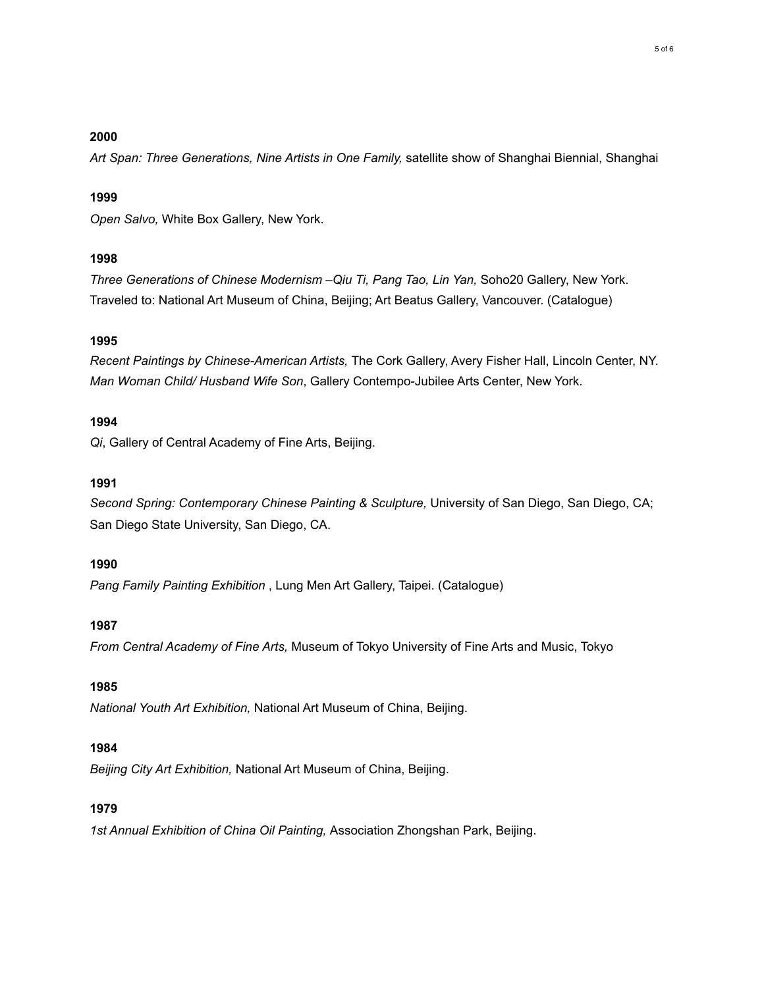### **2000**

*Art Span: Three Generations, Nine Artists in One Family,* satellite show of Shanghai Biennial, Shanghai

### **1999**

*Open Salvo,* White Box Gallery, New York.

# **1998**

*Three Generations of Chinese Modernism –Qiu Ti, Pang Tao, Lin Yan,* Soho20 Gallery, New York. Traveled to: National Art Museum of China, Beijing; Art Beatus Gallery, Vancouver. (Catalogue)

# **1995**

*Recent Paintings by Chinese-American Artists,* The Cork Gallery, Avery Fisher Hall, Lincoln Center, NY. *Man Woman Child/ Husband Wife Son*, Gallery Contempo-Jubilee Arts Center, New York.

## **1994**

*Qi*, Gallery of Central Academy of Fine Arts, Beijing.

## **1991**

*Second Spring: Contemporary Chinese Painting & Sculpture,* University of San Diego, San Diego, CA; San Diego State University, San Diego, CA.

### **1990**

*Pang Family Painting Exhibition* , Lung Men Art Gallery, Taipei. (Catalogue)

# **1987**

*From Central Academy of Fine Arts,* Museum of Tokyo University of Fine Arts and Music, Tokyo

# **1985**

*National Youth Art Exhibition,* National Art Museum of China, Beijing.

# **1984**

*Beijing City Art Exhibition,* National Art Museum of China, Beijing.

# **1979**

*1st Annual Exhibition of China Oil Painting,* Association Zhongshan Park, Beijing.